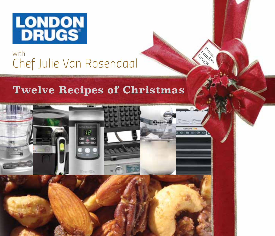

#### *with Chef Julie Van Rosendaal*

#### **Twelve Recipes of Christmas**



From: London London: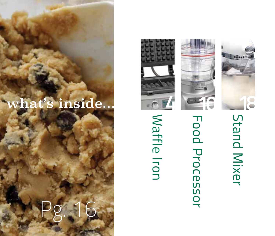#### what's inside...

*Pg*

*. 16*

# Stand Mixer



## Food Processor **Food Processor**

## Waffle Iron Waffle Iron



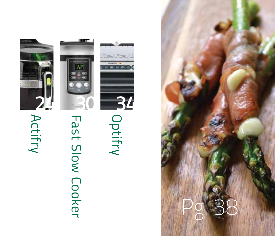

# Fast Slow Cooker





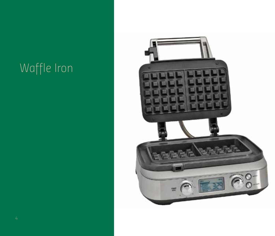#### *Waffle Iron*

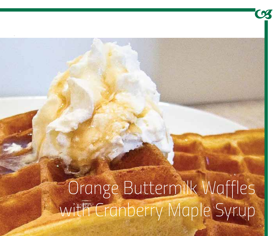Orange Buttermilk Waffles with Cranberry Maple Syrup

 $\mathbf{U}_{\bullet}$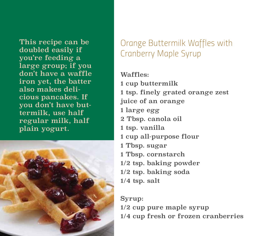This recipe can be doubled easily if you're feeding a large group; if you don't have a waffle iron yet, the batter also makes delicious pancakes. If you don't have buttermilk, use half regular milk, half plain yogurt.



*Orange Buttermilk Waffles with Cranberry Maple Syrup*

Waffles:

1 cup buttermilk

1 tsp. finely grated orange zest

juice of an orange

1 large egg

2 Tbsp. canola oil

1 tsp. vanilla

1 cup all-purpose flour

1 Tbsp. sugar

1 Tbsp. cornstarch

1/2 tsp. baking powder

1/2 tsp. baking soda

1/4 tsp. salt

Syrup: 1/2 cup pure maple syrup 1/4 cup fresh or frozen cranberries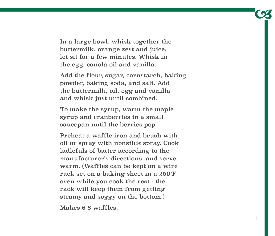In a large bowl, whisk together the buttermilk, orange zest and juice; let sit for a few minutes. Whisk in the egg, canola oil and vanilla.

Add the flour, sugar, cornstarch, baking powder, baking soda, and salt. Add the buttermilk, oil, egg and vanilla and whisk just until combined.

To make the syrup, warm the maple syrup and cranberries in a small saucepan until the berries pop.

Preheat a waffle iron and brush with oil or spray with nonstick spray. Cook ladlefuls of batter according to the manufacturer's directions, and serve warm. (Waffles can be kept on a wire rack set on a baking sheet in a 250˚F oven while you cook the rest - the rack will keep them from getting steamy and soggy on the bottom.)

Makes 6-8 waffles.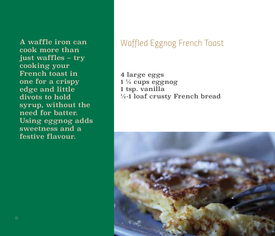cook more than just waffles – try cooking your French toast in one for a crispy edge and little divots to hold syrup, without the need for batter. Using eggnog adds sweetness and a festive flavour.

#### A waffle iron can *Waffled Eggnog French Toast*

4 large eggs  $1\frac{1}{2}$  cups eggnog 1 tsp. vanilla ½-1 loaf crusty French bread

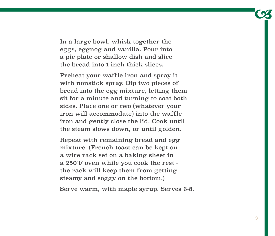In a large bowl, whisk together the eggs, eggnog and vanilla. Pour into a pie plate or shallow dish and slice the bread into 1-inch thick slices.

Preheat your waffle iron and spray it with nonstick spray. Dip two pieces of bread into the egg mixture, letting them sit for a minute and turning to coat both sides. Place one or two (whatever your iron will accommodate) into the waffle iron and gently close the lid. Cook until the steam slows down, or until golden.

Repeat with remaining bread and egg mixture. (French toast can be kept on a wire rack set on a baking sheet in a 250˚F oven while you cook the rest the rack will keep them from getting steamy and soggy on the bottom.)

Serve warm, with maple syrup. Serves 6-8.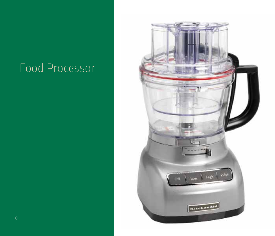#### *Food Processor*

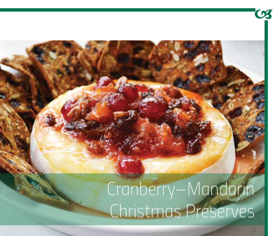### Cranberry–Mandarin Christmas Preserves

03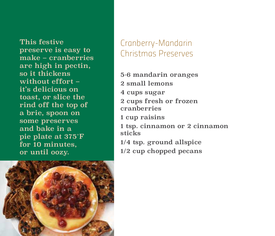This festive preserve is easy to make – cranberries are high in pectin, so it thickens without effort – it's delicious on toast, or slice the rind off the top of a brie, spoon on some preserves and bake in a pie plate at 375˚F for 10 minutes, or until oozy.

#### *Cranberry-Mandarin Christmas Preserves*

5-6 mandarin oranges 2 small lemons 4 cups sugar 2 cups fresh or frozen cranberries 1 cup raisins 1 tsp. cinnamon or 2 cinnamon sticks 1/4 tsp. ground allspice 1/2 cup chopped pecans

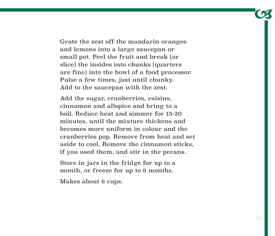Grate the zest off the mandarin oranges and lemons into a large saucepan or small pot. Peel the fruit and break (or slice) the insides into chunks (quarters are fine) into the bowl of a food processor. Pulse a few times, just until chunky. Add to the saucepan with the zest.

Add the sugar, cranberries, raisins, cinnamon and allspice and bring to a boil. Reduce heat and simmer for 15-20 minutes, until the mixture thickens and becomes more uniform in colour and the cranberries pop. Remove from heat and set aside to cool. Remove the cinnamon sticks, if you used them, and stir in the pecans.

Store in jars in the fridge for up to a month, or freeze for up to 6 months.

Makes about 6 cups.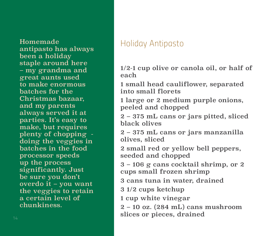Homemade *Holiday Antipasto* antipasto has always been a holiday staple around here – my grandma and great aunts used to make enormous batches for the Christmas bazaar, and my parents always served it at parties. It's easy to make, but requires plenty of chopping doing the veggies in batches in the food processor speeds up the process significantly. Just be sure you don't overdo it – you want the veggies to retain a certain level of chunkiness.

1/2-1 cup olive or canola oil, or half of each

1 small head cauliflower, separated into small florets

1 large or 2 medium purple onions, peeled and chopped

2 – 375 mL cans or jars pitted, sliced black olives

2 – 375 mL cans or jars manzanilla olives, sliced

2 small red or yellow bell peppers, seeded and chopped

3 – 106 g cans cocktail shrimp, or 2 cups small frozen shrimp

3 cans tuna in water, drained

3 1/2 cups ketchup

1 cup white vinegar

2 – 10 oz. (284 mL) cans mushroom slices or pieces, drained *<sup>14</sup>*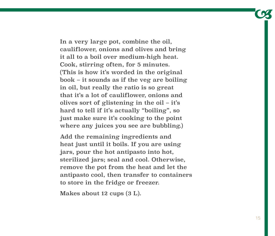In a very large pot, combine the oil, cauliflower, onions and olives and bring it all to a boil over medium-high heat. Cook, stirring often, for 5 minutes. (This is how it's worded in the original book – it sounds as if the veg are boiling in oil, but really the ratio is so great that it's a lot of cauliflower, onions and olives sort of glistening in the oil – it's hard to tell if it's actually "boiling", so just make sure it's cooking to the point where any juices you see are bubbling.)

Add the remaining ingredients and heat just until it boils. If you are using jars, pour the hot antipasto into hot, sterilized jars; seal and cool. Otherwise, remove the pot from the heat and let the antipasto cool, then transfer to containers to store in the fridge or freezer.

Makes about 12 cups (3 L).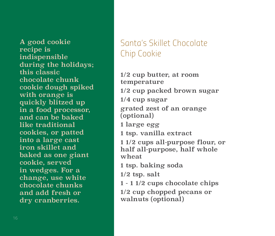A good cookie recipe is indispensible during the holidays; this classic chocolate chunk cookie dough spiked with orange is quickly blitzed up in a food processor, and can be baked like traditional cookies, or patted into a large cast iron skillet and baked as one giant cookie, served in wedges. For a change, use white chocolate chunks and add fresh or dry cranberries.

#### *Santa's Skillet Chocolate Chip Cookie*

1/2 cup butter, at room temperature 1/2 cup packed brown sugar 1/4 cup sugar grated zest of an orange (optional) 1 large egg 1 tsp. vanilla extract 1 1/2 cups all-purpose flour, or half all-purpose, half whole wheat 1 tsp. baking soda  $1/2$  tsp. salt 1 - 1 1/2 cups chocolate chips 1/2 cup chopped pecans or walnuts (optional)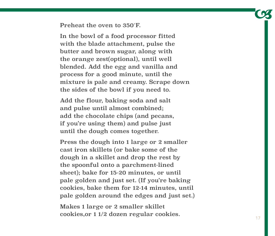Preheat the oven to 350˚F.

In the bowl of a food processor fitted with the blade attachment, pulse the butter and brown sugar, along with the orange zest(optional), until well blended. Add the egg and vanilla and process for a good minute, until the mixture is pale and creamy. Scrape down the sides of the bowl if you need to.

Add the flour, baking soda and salt and pulse until almost combined; add the chocolate chips (and pecans, if you're using them) and pulse just until the dough comes together.

Press the dough into 1 large or 2 smaller cast iron skillets (or bake some of the dough in a skillet and drop the rest by the spoonful onto a parchment-lined sheet); bake for 15-20 minutes, or until pale golden and just set. (If you're baking cookies, bake them for 12-14 minutes, until pale golden around the edges and just set.)

Makes 1 large or 2 smaller skillet cookies,or 1 1/2 dozen regular cookies. *<sup>17</sup>*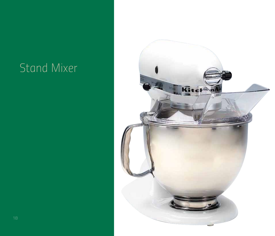#### *Stand Mixer*

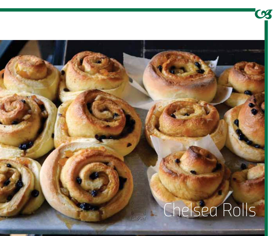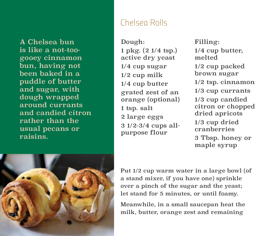A Chelsea bun is like a not-toogooey cinnamon bun, having not been baked in a puddle of butter and sugar, with dough wrapped around currants and candied citron rather than the usual pecans or raisins.

#### *Chelsea Rolls*

Dough: 1 pkg. (2 1/4 tsp.) active dry yeast 1/4 cup sugar 1/2 cup milk 1/4 cup butter grated zest of an orange (optional) 1 tsp. salt 2 large eggs 3 1/2-3/4 cups allpurpose flour

Filling: 1/4 cup butter, melted 1/2 cup packed brown sugar 1/2 tsp. cinnamon 1/3 cup currants 1/3 cup candied citron or chopped dried apricots 1/3 cup dried cranberries 3 Tbsp. honey or maple syrup



Put 1/2 cup warm water in a large bowl (of a stand mixer, if you have one) sprinkle over a pinch of the sugar and the yeast; let stand for 5 minutes, or until foamy.

Meanwhile, in a small saucepan heat the milk, butter, orange zest and remaining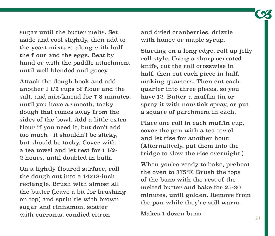sugar until the butter melts. Set aside and cool slightly, then add to the yeast mixture along with half the flour and the eggs. Beat by hand or with the paddle attachment until well blended and gooey.

Attach the dough hook and add another 1 1/2 cups of flour and the salt, and mix/knead for 7-8 minutes, until you have a smooth, tacky dough that comes away from the sides of the bowl. Add a little extra flour if you need it, but don't add too much - it shouldn't be sticky, but should be tacky. Cover with a tea towel and let rest for 1 1/2- 2 hours, until doubled in bulk.

On a lightly floured surface, roll the dough out into a 14x18-inch rectangle. Brush with almost all the butter (leave a bit for brushing on top) and sprinkle with brown sugar and cinnamon, scatter with currants, candied citron

and dried cranberries; drizzle with honey or maple syrup.

Starting on a long edge, roll up jellyroll style. Using a sharp serrated knife, cut the roll crosswise in half, then cut each piece in half, making quarters. Then cut each quarter into three pieces, so you have 12. Butter a muffin tin or spray it with nonstick spray, or put a square of parchment in each.

Place one roll in each muffin cup, cover the pan with a tea towel and let rise for another hour. (Alternatively, put them into the fridge to slow the rise overnight.)

When you're ready to bake, preheat the oven to 375°F. Brush the tops of the buns with the rest of the melted butter and bake for 25-30 minutes, until golden. Remove from the pan while they're still warm.

Makes 1 dozen buns.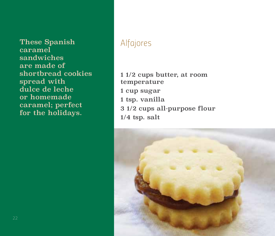These Spanish *Alfajores* caramel sandwiches are made of shortbread cookies spread with dulce de leche or homemade caramel; perfect for the holidays.

- 1 1/2 cups butter, at room temperature 1 cup sugar 1 tsp. vanilla
- 
- 3 1/2 cups all-purpose flour
- 1/4 tsp. salt

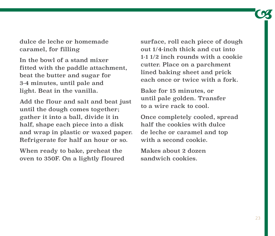dulce de leche or homemade caramel, for filling

In the bowl of a stand mixer fitted with the paddle attachment, beat the butter and sugar for 3-4 minutes, until pale and light. Beat in the vanilla.

Add the flour and salt and beat just until the dough comes together; gather it into a ball, divide it in half, shape each piece into a disk and wrap in plastic or waxed paper. Refrigerate for half an hour or so.

When ready to bake, preheat the oven to 350F. On a lightly floured surface, roll each piece of dough out 1/4-inch thick and cut into 1-1 1/2 inch rounds with a cookie cutter. Place on a parchment lined baking sheet and prick each once or twice with a fork.

Bake for 15 minutes, or until pale golden. Transfer to a wire rack to cool.

Once completely cooled, spread half the cookies with dulce de leche or caramel and top with a second cookie.

Makes about 2 dozen sandwich cookies.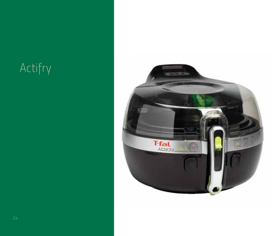### Actifry

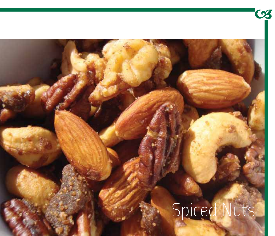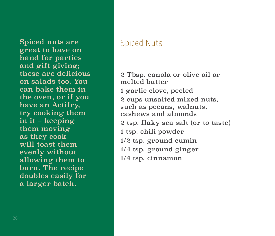Spiced nuts are *Spiced Nuts* great to have on hand for parties and gift-giving; these are delicious on salads too. You can bake them in the oven, or if you have an Actifry, try cooking them in it – keeping them moving as they cook will toast them evenly without allowing them to burn. The recipe doubles easily for a larger batch.

2 Tbsp. canola or olive oil or melted butter 1 garlic clove, peeled 2 cups unsalted mixed nuts, such as pecans, walnuts, cashews and almonds 2 tsp. flaky sea salt (or to taste) 1 tsp. chili powder 1/2 tsp. ground cumin 1/4 tsp. ground ginger 1/4 tsp. cinnamon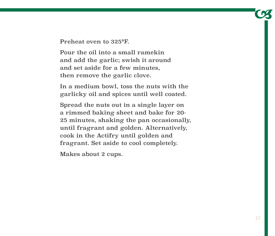Preheat oven to 325°F.

Pour the oil into a small ramekin and add the garlic; swish it around and set aside for a few minutes, then remove the garlic clove.

In a medium bowl, toss the nuts with the garlicky oil and spices until well coated.

Spread the nuts out in a single layer on a rimmed baking sheet and bake for 20- 25 minutes, shaking the pan occasionally, until fragrant and golden. Alternatively, cook in the Actifry until golden and fragrant. Set aside to cool completely.

Makes about 2 cups.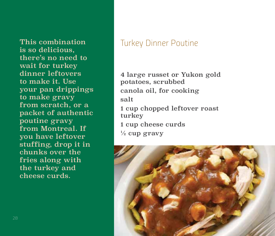is so delicious, there's no need to wait for turkey dinner leftovers to make it. Use your pan drippings to make gravy from scratch, or a packet of authentic poutine gravy from Montreal. If you have leftover stuffing, drop it in chunks over the fries along with the turkey and cheese curds.

#### This combination *Turkey Dinner Poutine*

4 large russet or Yukon gold potatoes, scrubbed canola oil, for cooking salt 1 cup chopped leftover roast turkey 1 cup cheese curds  $\frac{1}{2}$  cup gravy

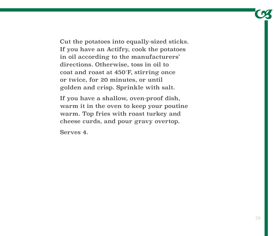Cut the potatoes into equally-sized sticks. If you have an Actifry, cook the potatoes in oil according to the manufacturers' directions. Otherwise, toss in oil to coat and roast at 450˚F, stirring once or twice, for 20 minutes, or until golden and crisp. Sprinkle with salt.

If you have a shallow, oven-proof dish, warm it in the oven to keep your poutine warm. Top fries with roast turkey and cheese curds, and pour gravy overtop.

Serves 4.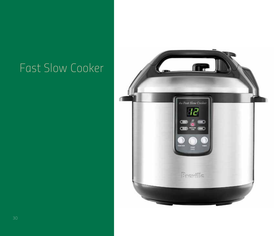#### *Fast Slow Cooker*

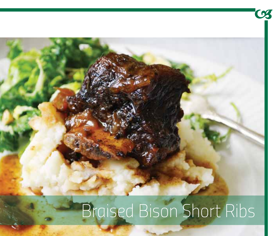# $\bullet$ Braised Bison Short Ribs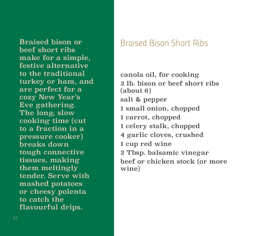beef short ribs make for a simple, festive alternative to the traditional turkey or ham, and are perfect for a cozy New Year's Eve gathering. The long, slow cooking time (cut to a fraction in a pressure cooker) breaks down tough connective tissues, making them meltingly tender. Serve with mashed potatoes or cheesy polenta to catch the flavourful drips.

#### Braised bison or *Braised Bison Short Ribs*

canola oil, for cooking 2 lb. bison or beef short ribs (about 6) salt & pepper 1 small onion, chopped 1 carrot, chopped 1 celery stalk, chopped 4 garlic cloves, crushed 1 cup red wine 2 Tbsp. balsamic vinegar beef or chicken stock (or more wine)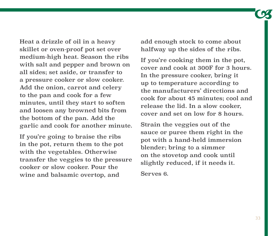Heat a drizzle of oil in a heavy skillet or oven-proof pot set over medium-high heat. Season the ribs with salt and pepper and brown on all sides; set aside, or transfer to a pressure cooker or slow cooker. Add the onion, carrot and celery to the pan and cook for a few minutes, until they start to soften and loosen any browned bits from the bottom of the pan. Add the garlic and cook for another minute.

If you're going to braise the ribs in the pot, return them to the pot with the vegetables. Otherwise transfer the veggies to the pressure cooker or slow cooker. Pour the wine and balsamic overtop, and

add enough stock to come about halfway up the sides of the ribs.

If you're cooking them in the pot, cover and cook at 300F for 3 hours. In the pressure cooker, bring it up to temperature according to the manufacturers' directions and cook for about 45 minutes; cool and release the lid. In a slow cooker, cover and set on low for 8 hours.

Strain the veggies out of the sauce or puree them right in the pot with a hand-held immersion blender; bring to a simmer on the stovetop and cook until slightly reduced, if it needs it.

Serves 6.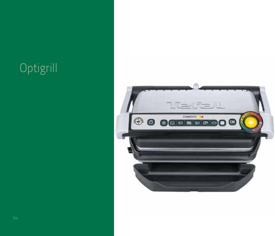#### *Optigrill*

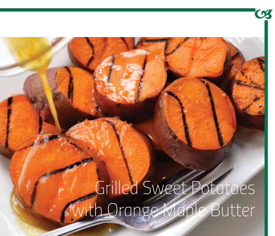*Grilled Sweet Potatoes with Orange Maple Butter*

03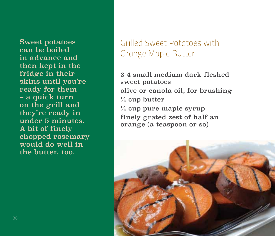Sweet potatoes can be boiled in advance and then kept in the fridge in their skins until you're ready for them – a quick turn on the grill and they're ready in under 5 minutes. A bit of finely chopped rosemary would do well in the butter, too.

#### *Grilled Sweet Potatoes with Orange Maple Butter*

3-4 small-medium dark fleshed sweet potatoes olive or canola oil, for brushing  $\frac{1}{4}$  cup butter ¼ cup pure maple syrup finely grated zest of half an orange (a teaspoon or so)

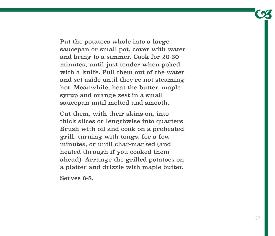Put the potatoes whole into a large saucepan or small pot, cover with water and bring to a simmer. Cook for 20-30 minutes, until just tender when poked with a knife. Pull them out of the water and set aside until they're not steaming hot. Meanwhile, heat the butter, maple syrup and orange zest in a small saucepan until melted and smooth.

Cut them, with their skins on, into thick slices or lengthwise into quarters. Brush with oil and cook on a preheated grill, turning with tongs, for a few minutes, or until char-marked (and heated through if you cooked them ahead). Arrange the grilled potatoes on a platter and drizzle with maple butter.

Serves 6-8.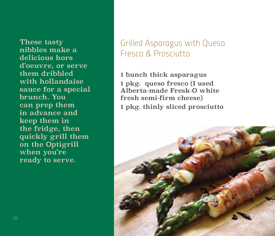These tasty nibbles make a delicious hors d'oeuvre, or serve them dribbled with hollandaise sauce for a special brunch. You can prep them in advance and keep them in the fridge, then quickly grill them on the Optigrill when you're ready to serve.

#### *Grilled Asparagus with Queso Fresco & Prosciutto*

1 bunch thick asparagus 1 pkg. queso fresco (I used Alberta-made Fresk-O white fresh semi-firm cheese) 1 pkg. thinly sliced prosciutto

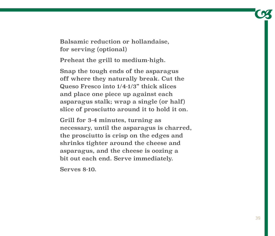Balsamic reduction or hollandaise, for serving (optional)

Preheat the grill to medium-high.

Snap the tough ends of the asparagus off where they naturally break. Cut the Queso Fresco into 1/4-1/3" thick slices and place one piece up against each asparagus stalk; wrap a single (or half) slice of prosciutto around it to hold it on.

Grill for 3-4 minutes, turning as necessary, until the asparagus is charred, the prosciutto is crisp on the edges and shrinks tighter around the cheese and asparagus, and the cheese is oozing a bit out each end. Serve immediately.

Serves 8-10.